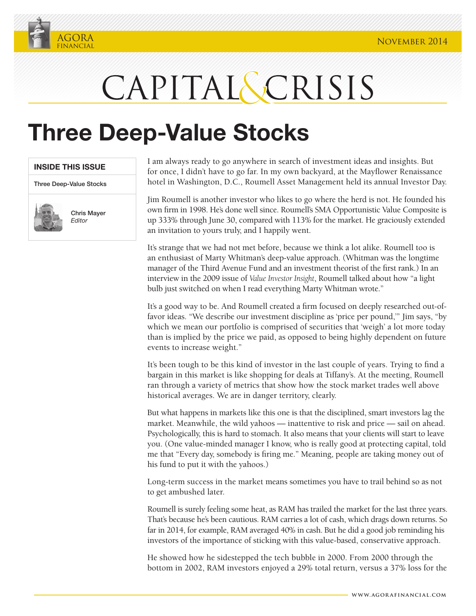

## CAPITAL SCRISIS

## **Three Deep-Value Stocks**

| <b>INSIDE THIS ISSUE</b> |  |
|--------------------------|--|
|                          |  |

Three Deep-Value Stocks



Chris Mayer *Editor*

I am always ready to go anywhere in search of investment ideas and insights. But for once, I didn't have to go far. In my own backyard, at the Mayflower Renaissance hotel in Washington, D.C., Roumell Asset Management held its annual Investor Day.

Jim Roumell is another investor who likes to go where the herd is not. He founded his own firm in 1998. He's done well since. Roumell's SMA Opportunistic Value Composite is up 333% through June 30, compared with 113% for the market. He graciously extended an invitation to yours truly, and I happily went.

It's strange that we had not met before, because we think a lot alike. Roumell too is an enthusiast of Marty Whitman's deep-value approach. (Whitman was the longtime manager of the Third Avenue Fund and an investment theorist of the first rank.) In an interview in the 2009 issue of *Value Investor Insight*, Roumell talked about how "a light bulb just switched on when I read everything Marty Whitman wrote."

It's a good way to be. And Roumell created a firm focused on deeply researched out-offavor ideas. "We describe our investment discipline as 'price per pound,'" Jim says, "by which we mean our portfolio is comprised of securities that 'weigh' a lot more today than is implied by the price we paid, as opposed to being highly dependent on future events to increase weight."

It's been tough to be this kind of investor in the last couple of years. Trying to find a bargain in this market is like shopping for deals at Tiffany's. At the meeting, Roumell ran through a variety of metrics that show how the stock market trades well above historical averages. We are in danger territory, clearly.

But what happens in markets like this one is that the disciplined, smart investors lag the market. Meanwhile, the wild yahoos — inattentive to risk and price — sail on ahead. Psychologically, this is hard to stomach. It also means that your clients will start to leave you. (One value-minded manager I know, who is really good at protecting capital, told me that "Every day, somebody is firing me." Meaning, people are taking money out of his fund to put it with the yahoos.)

Long-term success in the market means sometimes you have to trail behind so as not to get ambushed later.

Roumell is surely feeling some heat, as RAM has trailed the market for the last three years. That's because he's been cautious. RAM carries a lot of cash, which drags down returns. So far in 2014, for example, RAM averaged 40% in cash. But he did a good job reminding his investors of the importance of sticking with this value-based, conservative approach.

He showed how he sidestepped the tech bubble in 2000. From 2000 through the bottom in 2002, RAM investors enjoyed a 29% total return, versus a 37% loss for the